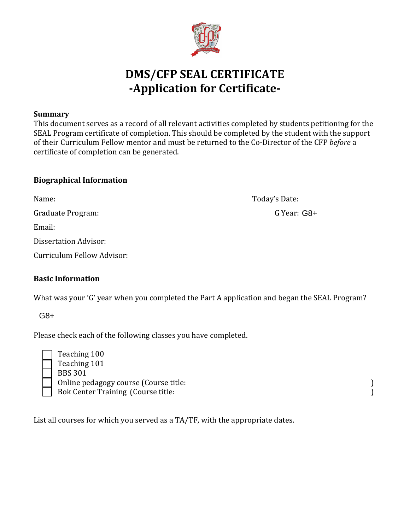

# **DMS/CFP SEAL CERTIFICATE -Application for Certificate-**

#### **Summary**

This document serves as a record of all relevant activities completed by students petitioning for the SEAL Program certificate of completion. This should be completed by the student with the support of their Curriculum Fellow mentor and must be returned to the Co-Director of the CFP *before* a certificate of completion can be generated.

#### **Biographical Information**

Name: Today's Date:

Graduate Program:

Email:

Dissertation Advisor:

| Curriculum Fellow Advisor: |  |  |  |
|----------------------------|--|--|--|
|                            |  |  |  |

### **Basic Information**

What was your 'G' year when you completed the Part A application and began the SEAL Program?

G8+

Please check each of the following classes you have completed.

| Teaching 100                              |  |
|-------------------------------------------|--|
| Teaching 101                              |  |
| <b>BBS 301</b>                            |  |
| Online pedagogy course (Course title:     |  |
| <b>Bok Center Training (Course title:</b> |  |

List all courses for which you served as a TA/TF, with the appropriate dates.

G Year: G8+